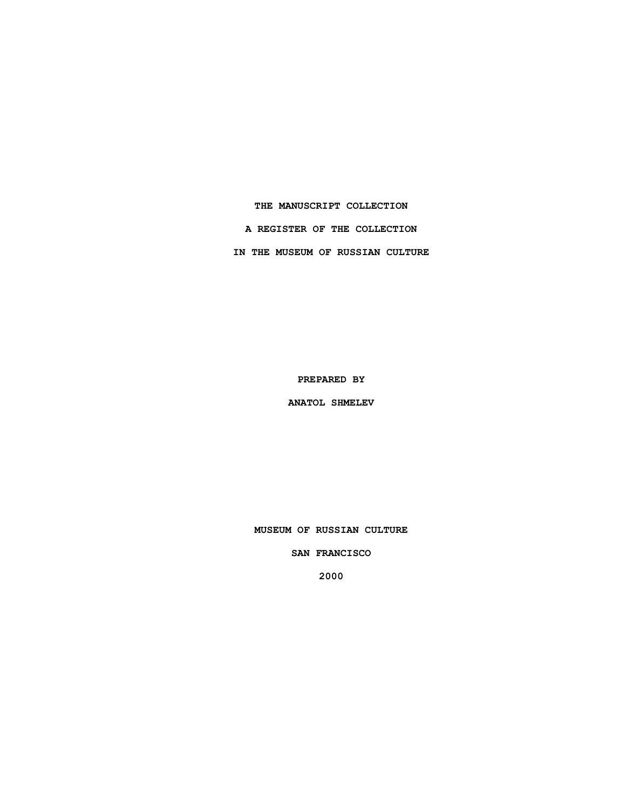**THE MANUSCRIPT COLLECTION A REGISTER OF THE COLLECTION IN THE MUSEUM OF RUSSIAN CULTURE**

**PREPARED BY**

**ANATOL SHMELEV**

**MUSEUM OF RUSSIAN CULTURE**

**SAN FRANCISCO**

**2000**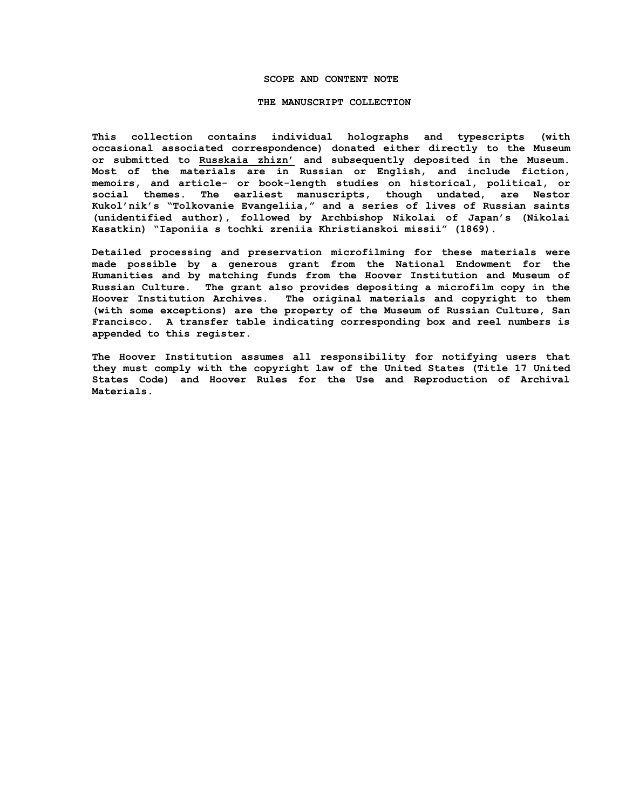#### **SCOPE AND CONTENT NOTE**

### **THE MANUSCRIPT COLLECTION**

**This collection contains individual holographs and typescripts (with occasional associated correspondence) donated either directly to the Museum or submitted to Russkaia zhizn' and subsequently deposited in the Museum. Most of the materials are in Russian or English, and include fiction, memoirs, and article- or book-length studies on historical, political, or social themes. The earliest manuscripts, though undated, are Nestor Kukol'nik's "Tolkovanie Evangeliia," and a series of lives of Russian saints (unidentified author), followed by Archbishop Nikolai of Japan's (Nikolai Kasatkin) "Iaponiia s tochki zreniia Khristianskoi missii" (1869).**

**Detailed processing and preservation microfilming for these materials were made possible by a generous grant from the National Endowment for the Humanities and by matching funds from the Hoover Institution and Museum of Russian Culture. The grant also provides depositing a microfilm copy in the Hoover Institution Archives. The original materials and copyright to them (with some exceptions) are the property of the Museum of Russian Culture, San Francisco. A transfer table indicating corresponding box and reel numbers is appended to this register.**

**The Hoover Institution assumes all responsibility for notifying users that they must comply with the copyright law of the United States (Title 17 United States Code) and Hoover Rules for the Use and Reproduction of Archival Materials.**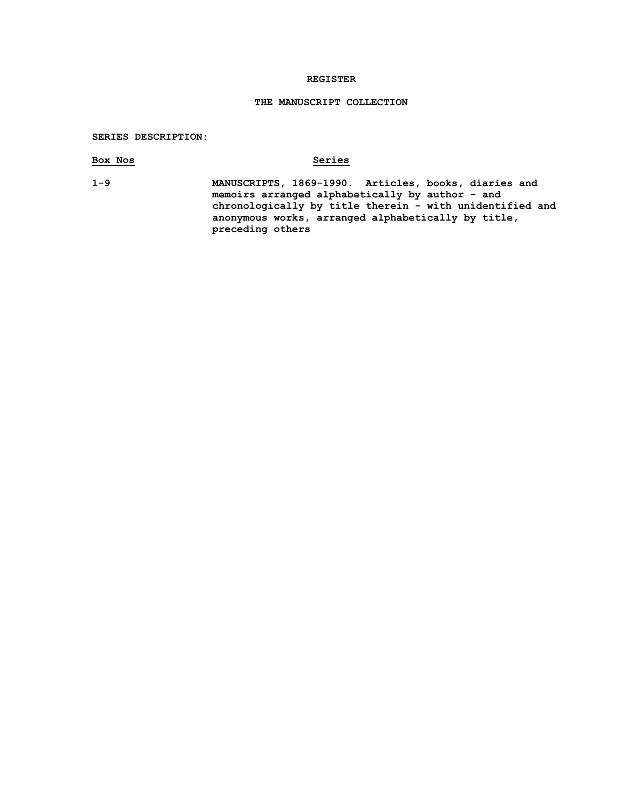## **REGISTER**

# **THE MANUSCRIPT COLLECTION**

# **SERIES DESCRIPTION:**

| Box Nos | Series                                                                                                                                                                                                                                        |
|---------|-----------------------------------------------------------------------------------------------------------------------------------------------------------------------------------------------------------------------------------------------|
| $1 - 9$ | MANUSCRIPTS, 1869-1990. Articles, books, diaries and<br>memoirs arranged alphabetically by author - and<br>chronologically by title therein - with unidentified and<br>anonymous works, arranged alphabetically by title,<br>preceding others |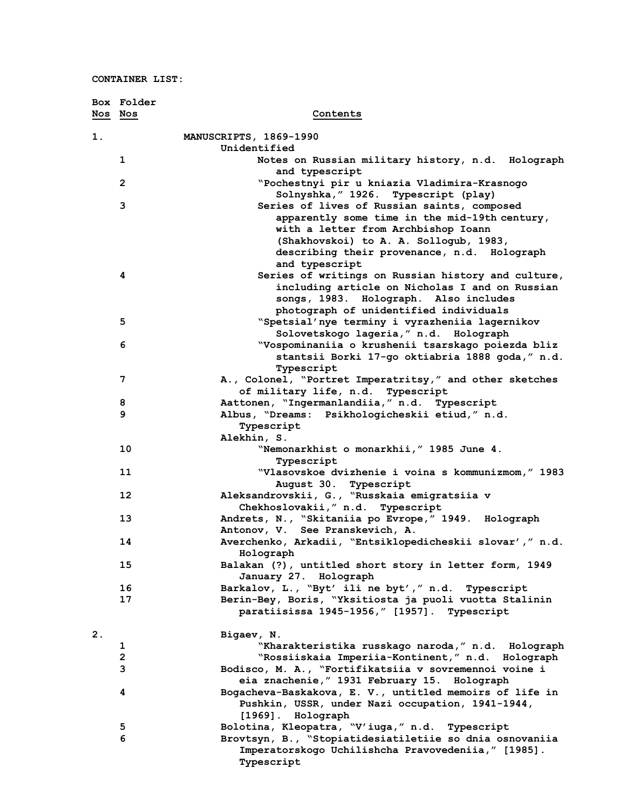|         | Box Folder     |                                                                       |
|---------|----------------|-----------------------------------------------------------------------|
| Nos Nos |                | Contents                                                              |
| 1.      |                | MANUSCRIPTS, 1869-1990                                                |
|         |                | Unidentified                                                          |
|         | 1              | Notes on Russian military history, n.d. Holograph<br>and typescript   |
|         | $\overline{2}$ | "Pochestnyi pir u kniazia Vladimira-Krasnogo                          |
|         |                | Solnyshka, " 1926. Typescript (play)                                  |
|         | 3              | Series of lives of Russian saints, composed                           |
|         |                | apparently some time in the mid-19th century,                         |
|         |                | with a letter from Archbishop Ioann                                   |
|         |                | (Shakhovskoi) to A. A. Sollogub, 1983,                                |
|         |                | describing their provenance, n.d. Holograph                           |
|         |                | and typescript                                                        |
|         | 4              | Series of writings on Russian history and culture,                    |
|         |                | including article on Nicholas I and on Russian                        |
|         |                | songs, 1983. Holograph. Also includes                                 |
|         |                | photograph of unidentified individuals                                |
|         | 5              | "Spetsial'nye terminy i vyrazheniia lagernikov                        |
|         |                | Solovetskogo lageria," n.d. Holograph                                 |
|         | 6              | "Vospominaniia o krushenii tsarskago poiezda bliz                     |
|         |                | stantsii Borki 17-go oktiabria 1888 goda, "n.d.                       |
|         | 7              | Typescript<br>A., Colonel, "Portret Imperatritsy," and other sketches |
|         |                | of military life, n.d. Typescript                                     |
|         | 8              | Aattonen, "Ingermanlandiia," n.d. Typescript                          |
|         | 9              | Albus, "Dreams: Psikhologicheskii etiud," n.d.                        |
|         |                | Typescript                                                            |
|         |                | Alekhin, S.                                                           |
|         | 10             | "Nemonarkhist o monarkhii," 1985 June 4.                              |
|         |                | Typescript                                                            |
|         | 11             | "Vlasovskoe dvizhenie i voina s kommunizmom," 1983                    |
|         |                | August 30. Typescript                                                 |
|         | 12             | Aleksandrovskii, G., "Russkaia emigratsiia v                          |
|         |                | Chekhoslovakii, " n.d. Typescript                                     |
|         | 13             | Andrets, N., "Skitaniia po Evrope," 1949. Holograph                   |
|         |                | Antonov, V. See Pranskevich, A.                                       |
|         | 14             | Averchenko, Arkadii, "Entsiklopedicheskii slovar'," n.d.              |
|         | 15             | Holograph<br>Balakan (?), untitled short story in letter form, 1949   |
|         |                | January 27. Holograph                                                 |
|         | 16             | Barkalov, L., "Byt' ili ne byt'," n.d. Typescript                     |
|         | 17             | Berin-Bey, Boris, "Yksitiosta ja puoli vuotta Stalinin                |
|         |                | paratiisissa 1945-1956," [1957]. Typescript                           |
| 2.      |                | Bigaev, N.                                                            |
|         | 1              | "Kharakteristika russkago naroda," n.d. Holograph                     |
|         | $\overline{2}$ | "Rossiiskaia Imperiia-Kontinent," n.d. Holograph                      |
|         | 3              | Bodisco, M. A., "Fortifikatsiia v sovremennoi voine i                 |
|         |                | eia znachenie, " 1931 February 15. Holograph                          |
|         | 4              | Bogacheva-Baskakova, E. V., untitled memoirs of life in               |
|         |                | Pushkin, USSR, under Nazi occupation, 1941-1944,                      |
|         |                | [1969]. Holograph                                                     |
|         | 5              | Bolotina, Kleopatra, "V'iuga," n.d. Typescript                        |
|         | 6              | Brovtsyn, B., "Stopiatidesiatiletiie so dnia osnovaniia               |
|         |                | Imperatorskogo Uchilishcha Pravovedeniia," [1985].<br>Typescript      |
|         |                |                                                                       |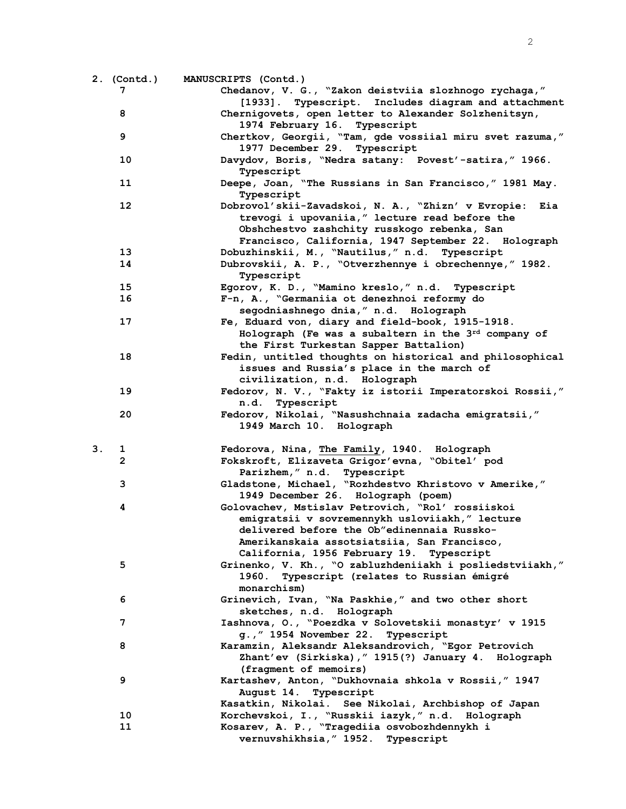|    | 2. (Contd.)    | MANUSCRIPTS (Contd.)                                      |
|----|----------------|-----------------------------------------------------------|
|    | 7              | Chedanov, V. G., "Zakon deistviia slozhnogo rychaga,"     |
|    |                | [1933]. Typescript. Includes diagram and attachment       |
|    | 8              | Chernigovets, open letter to Alexander Solzhenitsyn,      |
|    |                | 1974 February 16. Typescript                              |
|    | 9              | Chertkov, Georgii, "Tam, gde vossiial miru svet razuma,"  |
|    |                | 1977 December 29. Typescript                              |
|    | 10             | Davydov, Boris, "Nedra satany: Povest'-satira," 1966.     |
|    |                |                                                           |
|    |                | Typescript                                                |
|    | 11             | Deepe, Joan, "The Russians in San Francisco," 1981 May.   |
|    |                | Typescript                                                |
|    | 12             | Dobrovol'skii-Zavadskoi, N. A., "Zhizn' v Evropie:<br>Eia |
|    |                | trevogi i upovaniia," lecture read before the             |
|    |                | Obshchestvo zashchity russkogo rebenka, San               |
|    |                | Francisco, California, 1947 September 22. Holograph       |
|    | 13             | Dobuzhinskii, M., "Nautilus," n.d. Typescript             |
|    | 14             | Dubrovskii, A. P., "Otverzhennye i obrechennye," 1982.    |
|    |                | Typescript                                                |
|    | 15             | Egorov, K. D., "Mamino kreslo," n.d. Typescript           |
|    | 16             | F-n, A., "Germaniia ot denezhnoi reformy do               |
|    |                | segodniashnego dnia," n.d. Holograph                      |
|    | 17             | Fe, Eduard von, diary and field-book, 1915-1918.          |
|    |                | Holograph (Fe was a subaltern in the 3rd company of       |
|    |                | the First Turkestan Sapper Battalion)                     |
|    | 18             | Fedin, untitled thoughts on historical and philosophical  |
|    |                | issues and Russia's place in the march of                 |
|    |                | civilization, n.d. Holograph                              |
|    | 19             | Fedorov, N. V., "Fakty iz istorii Imperatorskoi Rossii,"  |
|    |                | n.d. Typescript                                           |
|    | 20             | Fedorov, Nikolai, "Nasushchnaia zadacha emigratsii,"      |
|    |                | 1949 March 10. Holograph                                  |
|    |                |                                                           |
| 3. | 1              | Fedorova, Nina, The Family, 1940. Holograph               |
|    | $\overline{2}$ | Fokskroft, Elizaveta Grigor'evna, "Obitel' pod            |
|    |                | Parizhem, " n.d. Typescript                               |
|    | 3              | Gladstone, Michael, "Rozhdestvo Khristovo v Amerike,"     |
|    |                | 1949 December 26. Holograph (poem)                        |
|    | 4              | Golovachev, Mstislav Petrovich, "Rol' rossiiskoi          |
|    |                | emigratsii v sovremennykh usloviiakh," lecture            |
|    |                | delivered before the Ob"edinennaia Russko-                |
|    |                | Amerikanskaia assotsiatsiia, San Francisco,               |
|    |                | California, 1956 February 19. Typescript                  |
|    | 5              | Grinenko, V. Kh., "O zabluzhdeniiakh i posliedstviiakh,"  |
|    |                | Typescript (relates to Russian émigré<br>1960.            |
|    |                | monarchism)                                               |
|    | 6              | Grinevich, Ivan, "Na Paskhie," and two other short        |
|    |                | sketches, n.d. Holograph                                  |
|    | 7              | Iashnova, O., "Poezdka v Solovetskii monastyr' v 1915     |
|    |                | g., " 1954 November 22. Typescript                        |
|    | 8              | Karamzin, Aleksandr Aleksandrovich, "Egor Petrovich       |
|    |                | Zhant'ev (Sirkiska), "1915(?) January 4. Holograph        |
|    |                | (fragment of memoirs)                                     |
|    |                |                                                           |
|    | 9              | Kartashev, Anton, "Dukhovnaia shkola v Rossii," 1947      |
|    |                | August 14. Typescript                                     |
|    |                | Kasatkin, Nikolai. See Nikolai, Archbishop of Japan       |
|    | 10             | Korchevskoi, I., "Russkii iazyk," n.d. Holograph          |
|    | 11             | Kosarev, A. P., "Tragediia osvobozhdennykh i              |
|    |                | vernuvshikhsia, "1952. Typescript                         |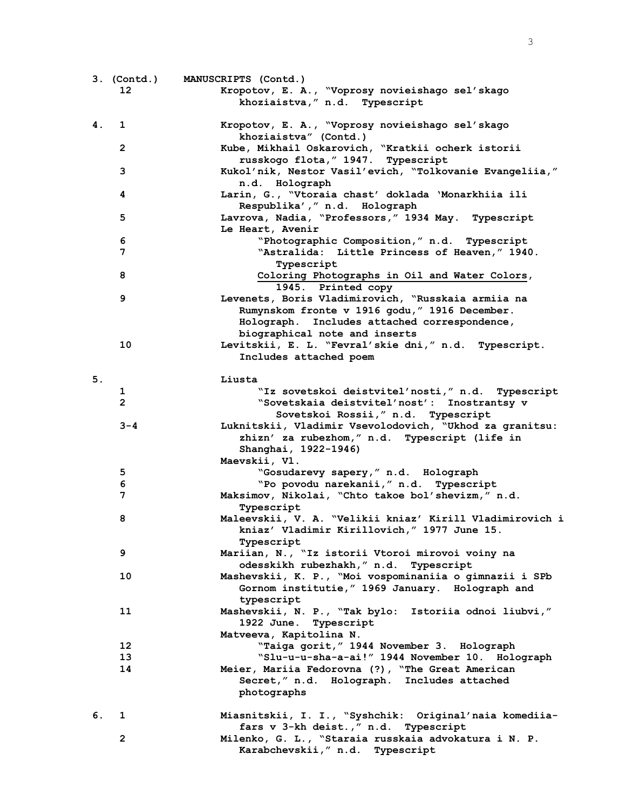|    | $3.$ (Contd.)  | MANUSCRIPTS (Contd.)                                                                                                  |
|----|----------------|-----------------------------------------------------------------------------------------------------------------------|
|    | 12             | Kropotov, E. A., "Voprosy novieishago sel'skago                                                                       |
|    |                | khoziaistva, " n.d. Typescript                                                                                        |
| 4. | 1              | Kropotov, E. A., "Voprosy novieishago sel'skago<br>khoziaistva" (Contd.)                                              |
|    | $\mathbf{2}$   | Kube, Mikhail Oskarovich, "Kratkii ocherk istorii                                                                     |
|    |                | russkogo flota, "1947. Typescript                                                                                     |
|    | 3              | Kukol'nik, Nestor Vasil'evich, "Tolkovanie Evangeliia,"<br>n.d. Holograph                                             |
|    | 4              | Larin, G., "Vtoraia chast' doklada 'Monarkhiia ili<br>Respublika'," n.d. Holograph                                    |
|    | 5              | Lavrova, Nadia, "Professors," 1934 May. Typescript<br>Le Heart, Avenir                                                |
|    | 6              | "Photographic Composition," n.d. Typescript                                                                           |
|    | 7              | "Astralida: Little Princess of Heaven," 1940.                                                                         |
|    |                | Typescript                                                                                                            |
|    | 8              | Coloring Photographs in Oil and Water Colors,                                                                         |
|    |                | 1945. Printed copy                                                                                                    |
|    | 9              | Levenets, Boris Vladimirovich, "Russkaia armiia na                                                                    |
|    |                | Rumynskom fronte v 1916 godu, " 1916 December.                                                                        |
|    |                | Holograph. Includes attached correspondence,                                                                          |
|    |                | biographical note and inserts                                                                                         |
|    | 10             | Levitskii, E. L. "Fevral'skie dni," n.d. Typescript.                                                                  |
|    |                | Includes attached poem                                                                                                |
| 5. |                | Liusta                                                                                                                |
|    | 1              | "Iz sovetskoi deistvitel'nosti," n.d. Typescript                                                                      |
|    | $\overline{2}$ | "Sovetskaia deistvitel'nost': Inostrantsy v                                                                           |
|    |                | Sovetskoi Rossii," n.d. Typescript                                                                                    |
|    | $3 - 4$        | Luknitskii, Vladimir Vsevolodovich, "Ukhod za granitsu:                                                               |
|    |                | zhizn' za rubezhom," n.d. Typescript (life in                                                                         |
|    |                | Shanghai, 1922-1946)                                                                                                  |
|    |                | Maevskii, Vl.                                                                                                         |
|    | 5              | "Gosudarevy sapery," n.d. Holograph                                                                                   |
|    | 6              | "Po povodu narekanii, " n.d. Typescript                                                                               |
|    | 7              | Maksimov, Nikolai, "Chto takoe bol'shevizm," n.d.                                                                     |
|    |                | Typescript                                                                                                            |
|    | 8              | Maleevskii, V. A. "Velikii kniaz' Kirill Vladimirovich i<br>kniaz' Vladimir Kirillovich," 1977 June 15.<br>Typescript |
|    | 9              | Mariian, N., "Iz istorii Vtoroi mirovoi voiny na                                                                      |
|    |                | odesskikh rubezhakh, " n.d. Typescript                                                                                |
|    | 10             | Mashevskii, K. P., "Moi vospominaniia o gimnazii i SPb                                                                |
|    |                | Gornom institutie, " 1969 January. Holograph and                                                                      |
|    |                | typescript                                                                                                            |
|    | 11             | Mashevskii, N. P., "Tak bylo: Istoriia odnoi liubvi,"                                                                 |
|    |                | 1922 June. Typescript                                                                                                 |
|    |                | Matveeva, Kapitolina N.                                                                                               |
|    | 12             | "Taiga gorit," 1944 November 3. Holograph                                                                             |
|    | 13             | "Slu-u-u-sha-a-ai!" 1944 November 10. Holograph                                                                       |
|    | 14             | Meier, Mariia Fedorovna (?), "The Great American                                                                      |
|    |                | Secret," n.d. Holograph. Includes attached                                                                            |
|    |                | photographs                                                                                                           |
| 6. | 1              | Miasnitskii, I. I., "Syshchik: Original'naia komediia-                                                                |
|    |                | fars v 3-kh deist., " n.d. Typescript                                                                                 |
|    | $\overline{2}$ | Milenko, G. L., "Staraia russkaia advokatura i N. P.                                                                  |
|    |                | Karabchevskii, " n.d. Typescript                                                                                      |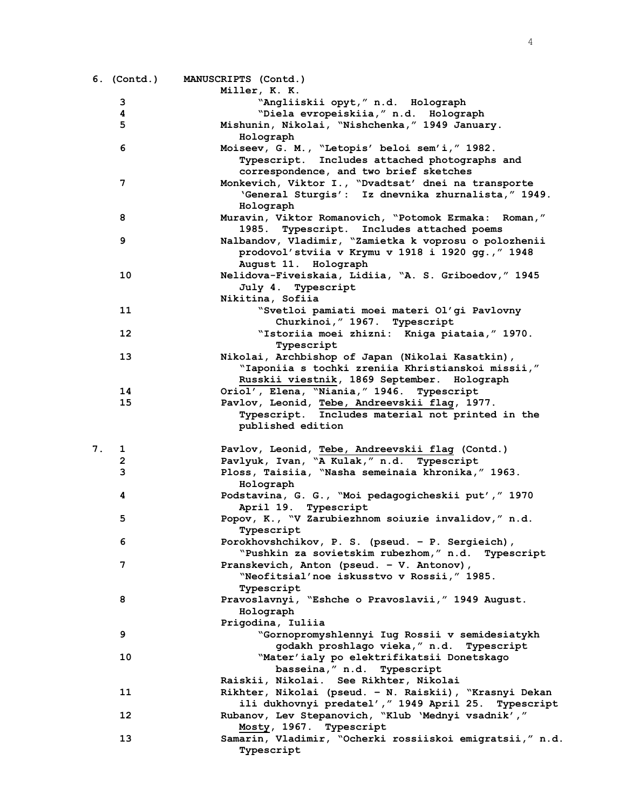|    | 6. (Contd.) | MANUSCRIPTS (Contd.)<br>Miller, K. K.                       |
|----|-------------|-------------------------------------------------------------|
|    | 3           | "Angliiskii opyt," n.d. Holograph                           |
|    | 4           | "Diela evropeiskiia," n.d. Holograph                        |
|    | 5           |                                                             |
|    |             | Mishunin, Nikolai, "Nishchenka," 1949 January.<br>Holograph |
|    | 6           | Moiseev, G. M., "Letopis' beloi sem'i," 1982.               |
|    |             |                                                             |
|    |             | Typescript. Includes attached photographs and               |
|    |             | correspondence, and two brief sketches                      |
|    | 7           | Monkevich, Viktor I., "Dvadtsat' dnei na transporte         |
|    |             | 'General Sturgis': Iz dnevnika zhurnalista," 1949.          |
|    |             | Holograph                                                   |
|    | 8           | Muravin, Viktor Romanovich, "Potomok Ermaka: Roman,"        |
|    |             | Typescript. Includes attached poems<br>1985.                |
|    | 9           | Nalbandov, Vladimir, "Zamietka k voprosu o polozhenii       |
|    |             | prodovol'stviia v Krymu v 1918 i 1920 gg., "1948            |
|    |             | August 11. Holograph                                        |
|    | 10          | Nelidova-Fiveiskaia, Lidiia, "A. S. Griboedov," 1945        |
|    |             | July 4. Typescript                                          |
|    |             | Nikitina, Sofiia                                            |
|    | 11          | "Svetloi pamiati moei materi Ol'gi Pavlovny                 |
|    |             | Churkinoi, "1967. Typescript                                |
|    | 12          | "Istoriia moei zhizni: Kniga piataia, "1970.                |
|    |             | Typescript                                                  |
|    | 13          | Nikolai, Archbishop of Japan (Nikolai Kasatkin),            |
|    |             | "Iaponiia s tochki zreniia Khristianskoi missii,"           |
|    |             | Russkii viestnik, 1869 September. Holograph                 |
|    | 14          | Oriol', Elena, "Niania," 1946. Typescript                   |
|    | 15          | Pavlov, Leonid, Tebe, Andreevskii flag, 1977.               |
|    |             | Typescript. Includes material not printed in the            |
|    |             | published edition                                           |
|    |             |                                                             |
| 7. | 1           | Pavlov, Leonid, Tebe, Andreevskii flag (Contd.)             |
|    | 2           | Pavlyuk, Ivan, "A Kulak," n.d. Typescript                   |
|    | 3           | Ploss, Taisiia, "Nasha semeinaia khronika," 1963.           |
|    |             | Holograph                                                   |
|    | 4           | Podstavina, G. G., "Moi pedagogicheskii put'," 1970         |
|    |             | April 19. Typescript                                        |
|    | 5           | Popov, K., "V Zarubiezhnom soiuzie invalidov," n.d.         |
|    |             | Typescript                                                  |
|    | 6           | Porokhovshchikov, P. S. (pseud. - P. Sergieich),            |
|    |             | "Pushkin za sovietskim rubezhom," n.d. Typescript           |
|    | 7           | Pranskevich, Anton (pseud. - V. Antonov),                   |
|    |             | "Neofitsial'noe iskusstvo v Rossii," 1985.                  |
|    |             |                                                             |
|    | 8           | Typescript                                                  |
|    |             | Pravoslavnyi, "Eshche o Pravoslavii," 1949 August.          |
|    |             | Holograph<br>Prigodina, Iuliia                              |
|    |             |                                                             |
|    | 9           | "Gornopromyshlennyi Iug Rossii v semidesiatykh              |
|    |             | godakh proshlago vieka," n.d. Typescript                    |
|    | 10          | "Mater'ialy po elektrifikatsii Donetskago                   |
|    |             | basseina, " n.d. Typescript                                 |
|    |             | Raiskii, Nikolai. See Rikhter, Nikolai                      |
|    | 11          | Rikhter, Nikolai (pseud. - N. Raiskii), "Krasnyi Dekan      |
|    |             | ili dukhovnyi predatel'," 1949 April 25.<br>Typescript      |
|    | 12          | Rubanov, Lev Stepanovich, "Klub 'Mednyi vsadnik',"          |
|    |             | Mosty, 1967.<br>Typescript                                  |
|    | 13          | Samarin, Vladimir, "Ocherki rossiiskoi emigratsii," n.d.    |
|    |             | Typescript                                                  |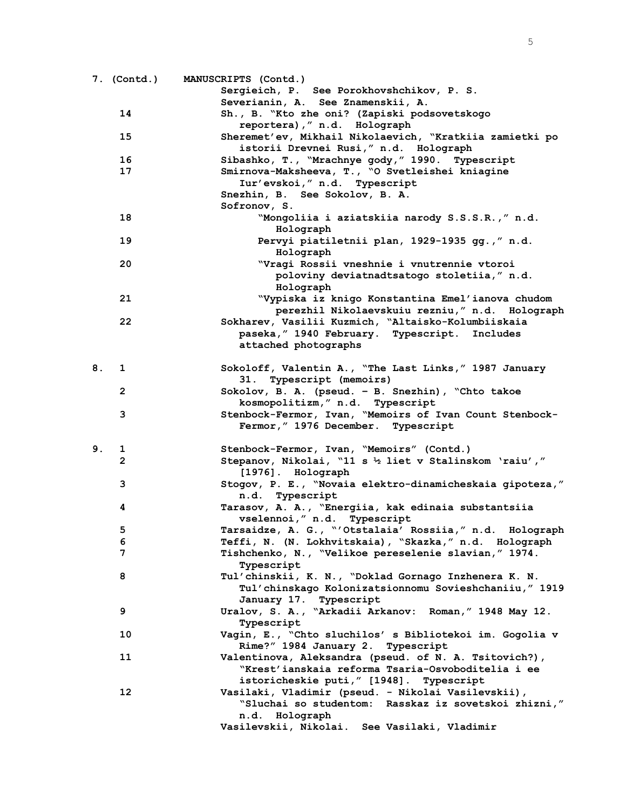|    |                | 7. (Contd.) MANUSCRIPTS (Contd.)                         |
|----|----------------|----------------------------------------------------------|
|    |                | Sergieich, P. See Porokhovshchikov, P. S.                |
|    |                | Severianin, A. See Znamenskii, A.                        |
|    | 14             | Sh., B. "Kto zhe oni? (Zapiski podsovetskogo             |
|    |                | reportera), " n.d. Holograph                             |
|    | 15             | Sheremet'ev, Mikhail Nikolaevich, "Kratkiia zamietki po  |
|    |                | istorii Drevnei Rusi," n.d. Holograph                    |
|    | 16             | Sibashko, T., "Mrachnye gody," 1990. Typescript          |
|    | 17             |                                                          |
|    |                | Smirnova-Maksheeva, T., "O Svetleishei kniagine          |
|    |                | Iur'evskoi," n.d. Typescript                             |
|    |                | Snezhin, B. See Sokolov, B. A.                           |
|    |                | Sofronov, S.                                             |
|    | 18             | "Mongoliia i aziatskiia narody S.S.S.R.," n.d.           |
|    |                | Holograph                                                |
|    | 19             | Pervyi piatiletnii plan, 1929-1935 gg., "n.d.            |
|    |                | Holograph                                                |
|    | 20             | "Vragi Rossii vneshnie i vnutrennie vtoroi               |
|    |                | poloviny deviatnadtsatogo stoletiia," n.d.               |
|    |                | Holograph                                                |
|    | 21             | "Vypiska iz knigo Konstantina Emel'ianova chudom         |
|    |                | perezhil Nikolaevskuiu rezniu, " n.d. Holograph          |
|    | 22             | Sokharev, Vasilii Kuzmich, "Altaisko-Kolumbiiskaia       |
|    |                | paseka, "1940 February. Typescript. Includes             |
|    |                | attached photographs                                     |
|    |                |                                                          |
| 8. | 1              | Sokoloff, Valentin A., "The Last Links," 1987 January    |
|    |                | 31. Typescript (memoirs)                                 |
|    | 2              | Sokolov, B. A. (pseud. - B. Snezhin), "Chto takoe        |
|    |                | kosmopolitizm," n.d. Typescript                          |
|    | 3              | Stenbock-Fermor, Ivan, "Memoirs of Ivan Count Stenbock-  |
|    |                | Fermor, " 1976 December. Typescript                      |
|    |                |                                                          |
| 9. | ı              | Stenbock-Fermor, Ivan, "Memoirs" (Contd.)                |
|    | $\overline{2}$ | Stepanov, Nikolai, "11 s 1/2 liet v Stalinskom 'raiu',"  |
|    |                | [1976]. Holograph                                        |
|    | 3              | Stogov, P. E., "Novaia elektro-dinamicheskaia gipoteza," |
|    |                | n.d. Typescript                                          |
|    | 4              | Tarasov, A. A., "Energiia, kak edinaia substantsiia      |
|    |                | vselennoi," n.d. Typescript                              |
|    |                |                                                          |
|    | 5              | Tarsaidze, A. G., "'Otstalaia' Rossiia," n.d. Holograph  |
|    | 6              | Teffi, N. (N. Lokhvitskaia), "Skazka," n.d. Holograph    |
|    | 7              | Tishchenko, N., "Velikoe pereselenie slavian," 1974.     |
|    |                | Typescript                                               |
|    | 8              | Tul'chinskii, K. N., "Doklad Gornago Inzhenera K. N.     |
|    |                | Tul'chinskago Kolonizatsionnomu Sovieshchaniiu, "1919    |
|    |                | January 17. Typescript                                   |
|    | 9              | Uralov, S. A., "Arkadii Arkanov: Roman," 1948 May 12.    |
|    |                | Typescript                                               |
|    | 10             | Vagin, E., "Chto sluchilos' s Bibliotekoi im. Gogolia v  |
|    |                | Rime?" 1984 January 2. Typescript                        |
|    | 11             | Valentinova, Aleksandra (pseud. of N. A. Tsitovich?),    |
|    |                | "Krest'ianskaia reforma Tsaria-Osvoboditelia i ee        |
|    |                | istoricheskie puti, "[1948]. Typescript                  |
|    | $12 \,$        | Vasilaki, Vladimir (pseud. - Nikolai Vasilevskii),       |
|    |                | "Sluchai so studentom: Rasskaz iz sovetskoi zhizni,"     |
|    |                | n.d. Holograph                                           |
|    |                | Vasilevskii, Nikolai. See Vasilaki, Vladimir             |
|    |                |                                                          |